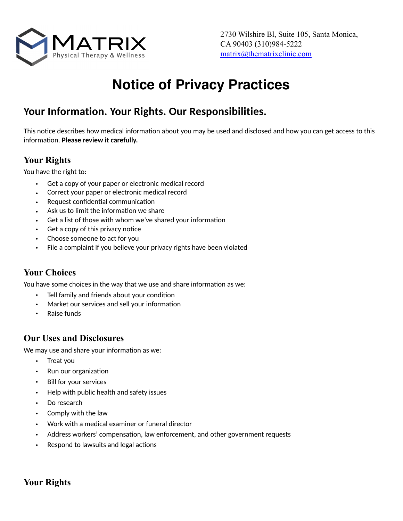

# **Notice of Privacy Practices**

## **Your Information. Your Rights. Our Responsibilities.**

This notice describes how medical information about you may be used and disclosed and how you can get access to this information. Please review it carefully.

## **Your Rights**

You have the right to:

- Get a copy of your paper or electronic medical record
- Correct your paper or electronic medical record
- Request confidential communication
- Ask us to limit the information we share
- Get a list of those with whom we've shared your information
- Get a copy of this privacy notice
- Choose someone to act for you
- File a complaint if you believe your privacy rights have been violated

## **Your Choices**

You have some choices in the way that we use and share information as we:

- Tell family and friends about your condition
- Market our services and sell your information
- Raise funds

## **Our Uses and Disclosures**

We may use and share your information as we:

- Treat you
- Run our organization
- Bill for your services
- Help with public health and safety issues
- Do research
- Comply with the law
- Work with a medical examiner or funeral director
- Address workers' compensation, law enforcement, and other government requests
- Respond to lawsuits and legal actions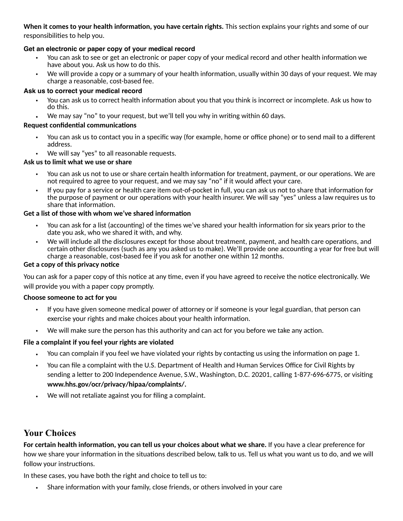**When it comes to your health information, you have certain rights.** This section explains your rights and some of our responsibilities to help you.

#### **Get an electronic or paper copy of your medical record**

- You can ask to see or get an electronic or paper copy of your medical record and other health information we have about you. Ask us how to do this.
- We will provide a copy or a summary of your health information, usually within 30 days of your request. We may charge a reasonable, cost-based fee.

#### **Ask us to correct your medical record**

- You can ask us to correct health information about you that you think is incorrect or incomplete. Ask us how to do this.
- We may say "no" to your request, but we'll tell you why in writing within 60 days.

#### **Request confidential communications**

- You can ask us to contact you in a specific way (for example, home or office phone) or to send mail to a different address.
- We will say "yes" to all reasonable requests.

#### **Ask us to limit what we use or share**

- You can ask us not to use or share certain health information for treatment, payment, or our operations. We are not required to agree to your request, and we may say "no" if it would affect your care.
- If you pay for a service or health care item out-of-pocket in full, you can ask us not to share that information for the purpose of payment or our operations with your health insurer. We will say "yes" unless a law requires us to share that information.

#### Get a list of those with whom we've shared information

- You can ask for a list (accounting) of the times we've shared your health information for six years prior to the date you ask, who we shared it with, and why.
- We will include all the disclosures except for those about treatment, payment, and health care operations, and certain other disclosures (such as any you asked us to make). We'll provide one accounting a year for free but will charge a reasonable, cost-based fee if you ask for another one within 12 months.

#### **Get a copy of this privacy notice**

You can ask for a paper copy of this notice at any time, even if you have agreed to receive the notice electronically. We will provide you with a paper copy promptly.

#### **Choose someone to act for you**

- If you have given someone medical power of attorney or if someone is your legal guardian, that person can exercise your rights and make choices about your health information.
- We will make sure the person has this authority and can act for you before we take any action.

#### **File a complaint if you feel your rights are violated**

- You can complain if you feel we have violated your rights by contacting us using the information on page 1.
- You can file a complaint with the U.S. Department of Health and Human Services Office for Civil Rights by sending a letter to 200 Independence Avenue, S.W., Washington, D.C. 20201, calling 1-877-696-6775, or visiting **www.hhs.gov/ocr/privacy/hipaa/complaints/.**
- We will not retaliate against you for filing a complaint.

### **Your Choices**

For certain health information, you can tell us your choices about what we share. If you have a clear preference for how we share your information in the situations described below, talk to us. Tell us what you want us to do, and we will follow your instructions.

In these cases, you have both the right and choice to tell us to:

Share information with your family, close friends, or others involved in your care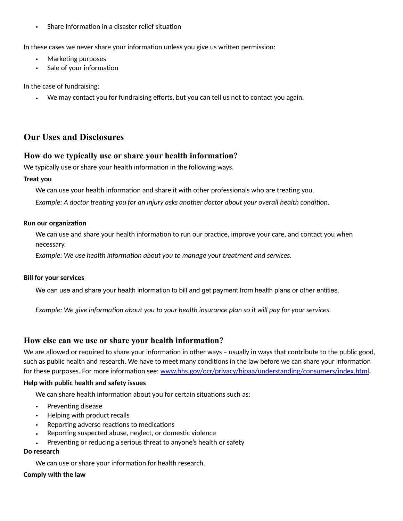• Share information in a disaster relief situation

In these cases we never share your information unless you give us written permission:

- Marketing purposes
- Sale of your information

In the case of fundraising:

• We may contact you for fundraising efforts, but you can tell us not to contact you again.

## **Our Uses and Disclosures**

#### **How do we typically use or share your health information?**

We typically use or share your health information in the following ways.

#### **Treat you**

We can use your health information and share it with other professionals who are treating you.

*Example: A doctor treating you for an injury asks another doctor about your overall health condition.* 

#### **Run our organization**

We can use and share your health information to run our practice, improve your care, and contact you when necessary.

*Example: We use health information about you to manage your treatment and services.* 

#### **Bill for your services**

We can use and share your health information to bill and get payment from health plans or other entities.

*Example: We give information about you to your health insurance plan so it will pay for your services.* 

#### **How else can we use or share your health information?**

We are allowed or required to share your information in other ways – usually in ways that contribute to the public good, such as public health and research. We have to meet many conditions in the law before we can share your information for these purposes. For more information see: [www.hhs.gov/ocr/privacy/hipaa/understanding/consumers/index.html](http://www.hhs.gov/ocr/privacy/hipaa/understanding/consumers/index.html).

#### **Help with public health and safety issues**

We can share health information about you for certain situations such as:

- Preventing disease
- Helping with product recalls
- Reporting adverse reactions to medications
- Reporting suspected abuse, neglect, or domestic violence
- Preventing or reducing a serious threat to anyone's health or safety

#### **Do research**

We can use or share your information for health research.

#### **Comply with the law**